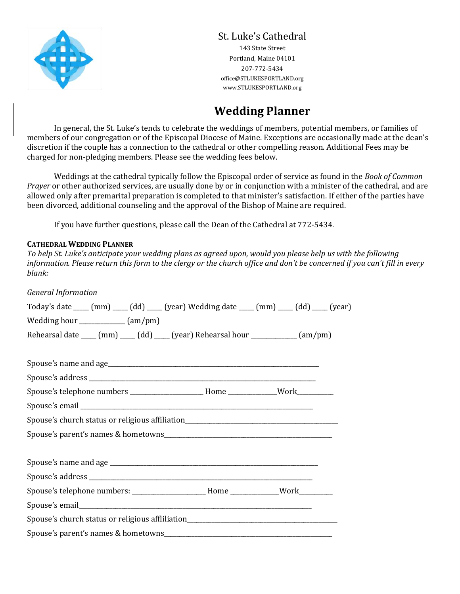

# St. Luke's Cathedral

143 State Street Portland, Maine 04101 207-772-5434 office@STLUKESPORTLAND.org www.STLUKESPORTLAND.org

# **Wedding Planner**

In general, the St. Luke's tends to celebrate the weddings of members, potential members, or families of members of our congregation or of the Episcopal Diocese of Maine. Exceptions are occasionally made at the dean's discretion if the couple has a connection to the cathedral or other compelling reason. Additional Fees may be charged for non-pledging members. Please see the wedding fees below.

Weddings at the cathedral typically follow the Episcopal order of service as found in the *Book of Common Prayer* or other authorized services, are usually done by or in conjunction with a minister of the cathedral, and are allowed only after premarital preparation is completed to that minister's satisfaction. If either of the parties have been divorced, additional counseling and the approval of the Bishop of Maine are required.

If you have further questions, please call the Dean of the Cathedral at 772-5434.

## **CATHEDRAL WEDDING PLANNER**

*To help St. Luke's anticipate your wedding plans as agreed upon, would you please help us with the following information. Please return this form to the clergy or the church office and don't be concerned if you can't fill in every blank:*

| <b>General Information</b>                                                                                                                    |  |  |
|-----------------------------------------------------------------------------------------------------------------------------------------------|--|--|
| Today's date $\text{---}(m m)$ $\text{---}(d d)$ $\text{---}(y e a r)$ Wedding date $\text{---}(m m)$ $\text{---}(d d)$ $\text{---}(y e a r)$ |  |  |
| Wedding hour $\sqrt{\frac{1}{2}$ (am/pm)                                                                                                      |  |  |
| Rehearsal date ____ (mm) ____ (dd) ____ (year) Rehearsal hour ___________ (am/pm)                                                             |  |  |
|                                                                                                                                               |  |  |
|                                                                                                                                               |  |  |
| Spouse's telephone numbers ____________________Home ___________Work___________                                                                |  |  |
|                                                                                                                                               |  |  |
| Spouse's church status or religious affiliation_________________________________                                                              |  |  |
|                                                                                                                                               |  |  |
|                                                                                                                                               |  |  |
|                                                                                                                                               |  |  |
| Spouse's telephone numbers: ___________________Home ___________Work_____________                                                              |  |  |
|                                                                                                                                               |  |  |
| Spouse's church status or religious affliliation________________________________                                                              |  |  |
|                                                                                                                                               |  |  |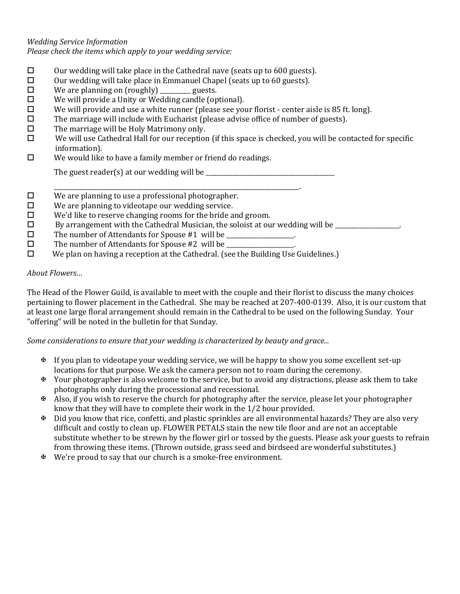# *Wedding Service Information*

*Please check the items which apply to your wedding service:*

- $\square$  Our wedding will take place in the Cathedral nave (seats up to 600 guests).
- $\square$  Our wedding will take place in Emmanuel Chapel (seats up to 60 guests).
- $\square$  We are planning on (roughly) \_\_\_\_\_\_\_\_\_ guests.
- $\Box$  We will provide a Unity or Wedding candle (optional).
- $\Box$  We will provide and use a white runner (please see your florist center aisle is 85 ft. long).
- $\square$  The marriage will include with Eucharist (please advise office of number of guests).
- $\Box$  The marriage will be Holy Matrimony only.
- $\square$  We will use Cathedral Hall for our reception (if this space is checked, you will be contacted for specific information).
- $\Box$  We would like to have a family member or friend do readings.

The guest reader(s) at our wedding will be  $\frac{1}{\frac{1}{2}}$ 

- \_\_\_\_\_\_\_\_\_\_\_\_\_\_\_\_\_\_\_\_\_\_\_\_\_\_\_\_\_\_\_\_\_\_\_\_\_\_\_\_\_\_\_\_\_\_\_\_\_\_\_\_\_\_\_\_\_\_\_\_\_\_\_\_\_\_\_\_\_\_\_\_\_\_\_\_\_\_\_\_.  $\Box$  We are planning to use a professional photographer.
- $\square$  We are planning to videotape our wedding service.
- $\Box$  We'd like to reserve changing rooms for the bride and groom.
- $\square$  By arrangement with the Cathedral Musician, the soloist at our wedding will be  $\square$
- $\square$  The number of Attendants for Spouse #1 will be \_\_\_\_\_\_\_\_\_\_\_\_\_\_\_\_.
- $\square$  The number of Attendants for Spouse #2 will be  $\square$
- We plan on having a reception at the Cathedral. (see the Building Use Guidelines.)

## *About Flowers…*

The Head of the Flower Guild, is available to meet with the couple and their florist to discuss the many choices pertaining to flower placement in the Cathedral. She may be reached at 207-400-0139. Also, it is our custom that at least one large floral arrangement should remain in the Cathedral to be used on the following Sunday. Your "offering" will be noted in the bulletin for that Sunday.

*Some considerations to ensure that your wedding is characterized by beauty and grace...*

- $\mathfrak{B}$  If you plan to videotape your wedding service, we will be happy to show you some excellent set-up locations for that purpose. We ask the camera person not to roam during the ceremony.
- Your photographer is also welcome to the service, but to avoid any distractions, please ask them to take photographs only during the processional and recessional.
- Also, if you wish to reserve the church for photography after the service, please let your photographer know that they will have to complete their work in the 1/2 hour provided.
- $\mathbf{\Phi}$  Did you know that rice, confetti, and plastic sprinkles are all environmental hazards? They are also very difficult and costly to clean up. FLOWER PETALS stain the new tile floor and are not an acceptable substitute whether to be strewn by the flower girl or tossed by the guests. Please ask your guests to refrain from throwing these items. (Thrown outside, grass seed and birdseed are wonderful substitutes.)
- $\mathbf{\Psi}$  We're proud to say that our church is a smoke-free environment.